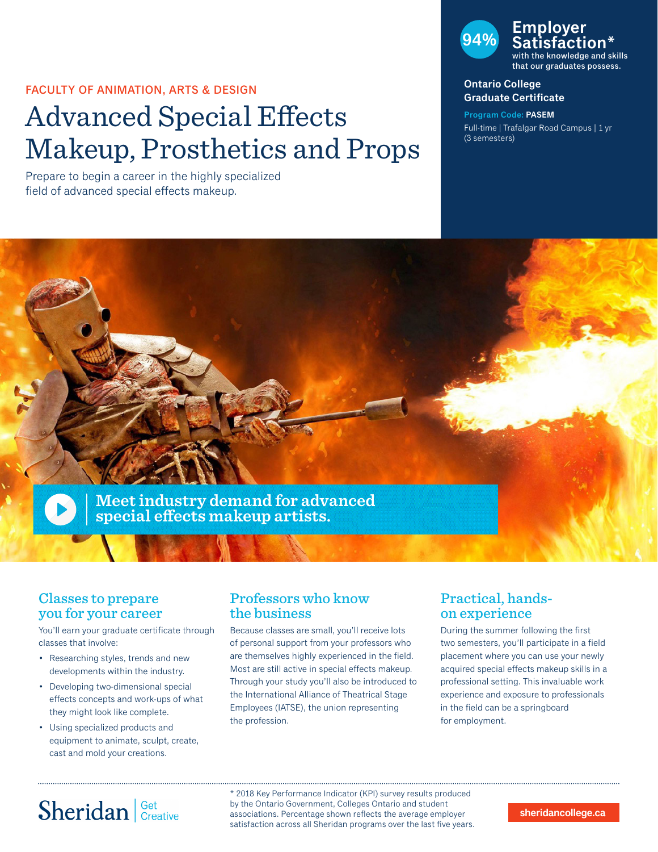### FACULTY OF ANIMATION, ARTS & DESIGN

# Advanced Special Effects Makeup, Prosthetics and Props

Prepare to begin a career in the highly specialized field of advanced special effects makeup.



#### **Ontario College Graduate Certificate**

**Program Code: PASEM** Full-time | Trafalgar Road Campus | 1 yr (3 semesters)



### Classes to prepare you for your career

You'll earn your graduate certificate through classes that involve:

- Researching styles, trends and new developments within the industry.
- Developing two-dimensional special effects concepts and work-ups of what they might look like complete.
- Using specialized products and equipment to animate, sculpt, create, cast and mold your creations.

### Professors who know the business

Because classes are small, you'll receive lots of personal support from your professors who are themselves highly experienced in the field. Most are still active in special effects makeup. Through your study you'll also be introduced to the International Alliance of Theatrical Stage Employees (IATSE), the union representing the profession.

## Practical, handson experience

During the summer following the first two semesters, you'll participate in a field placement where you can use your newly acquired special effects makeup skills in a professional setting. This invaluable work experience and exposure to professionals in the field can be a springboard for employment.

# Sheridan | Get Creative

\* 2018 Key Performance Indicator (KPI) survey results produced by the Ontario Government, Colleges Ontario and student associations. Percentage shown reflects the average employer satisfaction across all Sheridan programs over the last five years.